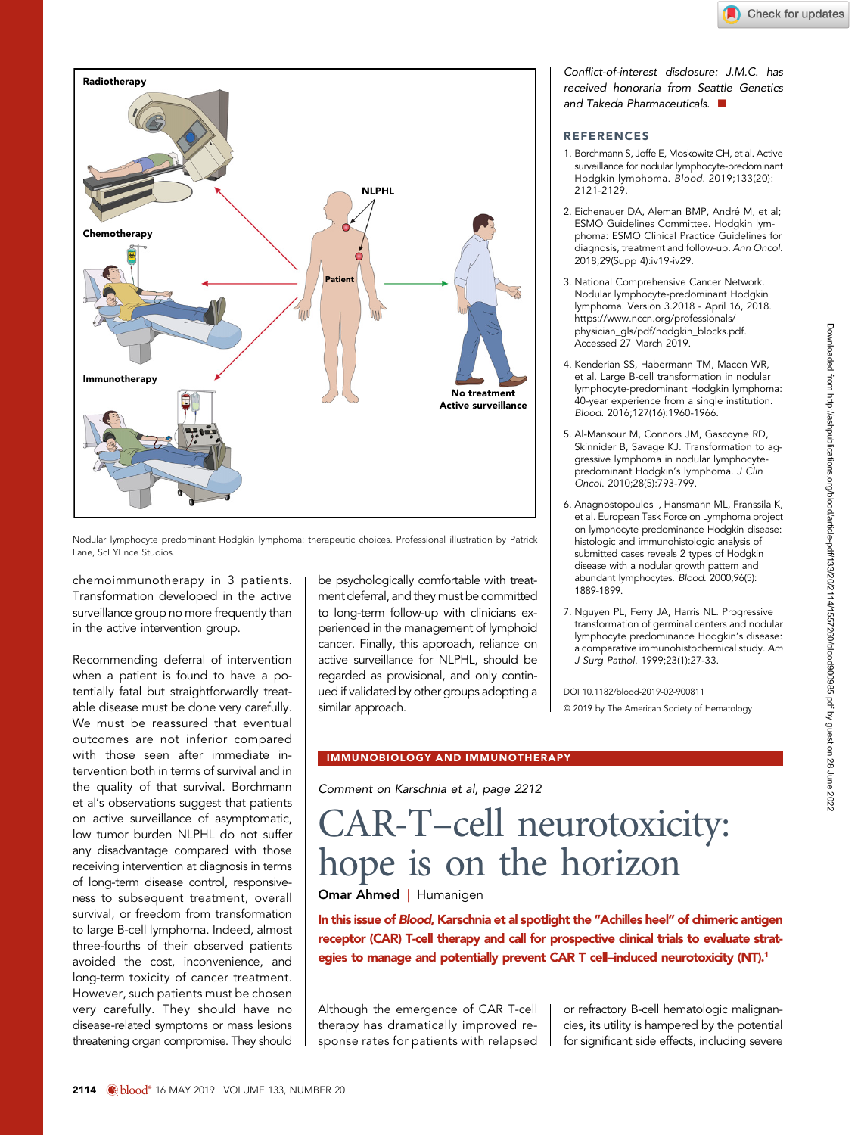

Nodular lymphocyte predominant Hodgkin lymphoma: therapeutic choices. Professional illustration by Patrick Lane, ScEYEnce Studios.

chemoimmunotherapy in 3 patients. Transformation developed in the active surveillance group no more frequently than in the active intervention group.

Recommending deferral of intervention when a patient is found to have a potentially fatal but straightforwardly treatable disease must be done very carefully. We must be reassured that eventual outcomes are not inferior compared with those seen after immediate intervention both in terms of survival and in the quality of that survival. Borchmann et al's observations suggest that patients on active surveillance of asymptomatic, low tumor burden NLPHL do not suffer any disadvantage compared with those receiving intervention at diagnosis in terms of long-term disease control, responsiveness to subsequent treatment, overall survival, or freedom from transformation to large B-cell lymphoma. Indeed, almost three-fourths of their observed patients avoided the cost, inconvenience, and long-term toxicity of cancer treatment. However, such patients must be chosen very carefully. They should have no disease-related symptoms or mass lesions threatening organ compromise. They should be psychologically comfortable with treatment deferral, and they must be committed to long-term follow-up with clinicians experienced in the management of lymphoid cancer. Finally, this approach, reliance on active surveillance for NLPHL, should be regarded as provisional, and only continued if validated by other groups adopting a similar approach.

### Conflict-of-interest disclosure: J.M.C. has received honoraria from Seattle Genetics and Takeda Pharmaceuticals.  $\blacksquare$

# **REFERENCES**

- 1. Borchmann S, Joffe E, Moskowitz CH, et al. Active surveillance for nodular lymphocyte-predominant Hodgkin lymphoma. Blood. 2019;133(20): 2121-2129.
- 2. Eichenauer DA, Aleman BMP, André M, et al; ESMO Guidelines Committee. Hodgkin lymphoma: ESMO Clinical Practice Guidelines for diagnosis, treatment and follow-up. Ann Oncol. 2018;29(Supp 4):iv19-iv29.
- 3. National Comprehensive Cancer Network. Nodular lymphocyte-predominant Hodgkin lymphoma. Version 3.2018 - April 16, 2018. [https://www.nccn.org/professionals/](https://www.nccn.org/professionals/physician_gls/pdf/hodgkin_blocks.pdf) [physician\\_gls/pdf/hodgkin\\_blocks.pdf](https://www.nccn.org/professionals/physician_gls/pdf/hodgkin_blocks.pdf). Accessed 27 March 2019.
- 4. Kenderian SS, Habermann TM, Macon WR, et al. Large B-cell transformation in nodular lymphocyte-predominant Hodgkin lymphoma: 40-year experience from a single institution. Blood. 2016;127(16):1960-1966.
- 5. Al-Mansour M, Connors JM, Gascoyne RD, Skinnider B, Savage KJ. Transformation to aggressive lymphoma in nodular lymphocytepredominant Hodgkin's lymphoma. J Clin Oncol. 2010;28(5):793-799.
- 6. Anagnostopoulos I, Hansmann ML, Franssila K, et al. European Task Force on Lymphoma project on lymphocyte predominance Hodgkin disease: histologic and immunohistologic analysis of submitted cases reveals 2 types of Hodgkin disease with a nodular growth pattern and abundant lymphocytes. Blood. 2000;96(5): 1889-1899.
- 7. Nguyen PL, Ferry JA, Harris NL. Progressive transformation of germinal centers and nodular lymphocyte predominance Hodgkin's disease: a comparative immunohistochemical study. Am J Surg Pathol. 1999;23(1):27-33.

DOI [10.1182/blood-2019-02-900811](https://doi.org/10.1182/blood-2019-02-900811) © 2019 by The American Society of Hematology

# IMMUNOBIOLOGY AND IMMUNOTHERAPY

Comment on [Karschnia et al, page 2212](http://www.bloodjournal.org/content/133/20/2212)

# CAR-T–cell neurotoxicity: hope is on the horizon

**Omar Ahmed** | Humanigen

In this issue of Blood, [Karschnia et al](http://www.bloodjournal.org/content/133/20/2212) spotlight the "Achilles heel" of chimeric antigen receptor (CAR) T-cell therapy and call for prospective clinical trials to evaluate strategies to manage and potentially prevent CAR T cell-induced neurotoxicity (NT).<sup>1</sup>

Although the emergence of CAR T-cell therapy has dramatically improved response rates for patients with relapsed

or refractory B-cell hematologic malignancies, its utility is hampered by the potential for significant side effects, including severe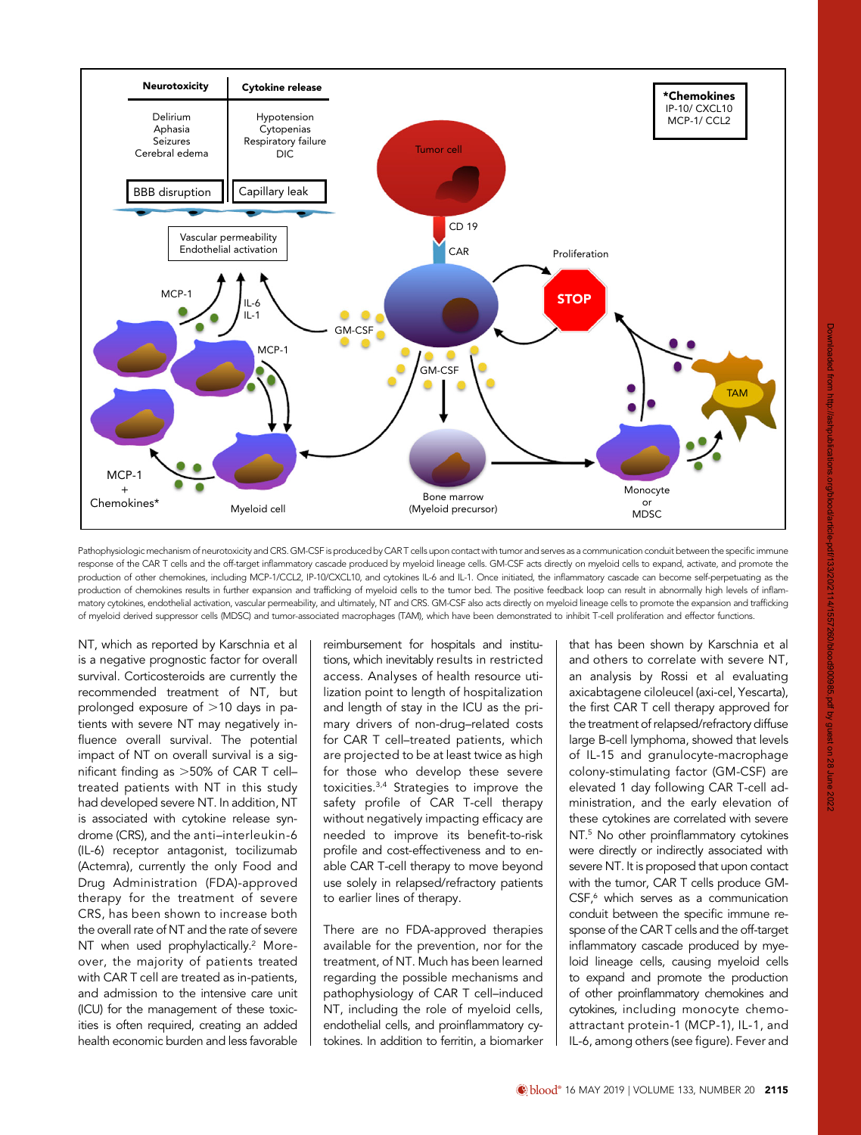

Pathophysiologic mechanism of neurotoxicity and CRS. GM-CSF is produced by CAR T cells upon contact with tumor and serves as a communication conduit between the specific immune response of the CAR T cells and the off-target inflammatory cascade produced by myeloid lineage cells. GM-CSF acts directly on myeloid cells to expand, activate, and promote the production of other chemokines, including MCP-1/CCL2, IP-10/CXCL10, and cytokines IL-6 and IL-1. Once initiated, the inflammatory cascade can become self-perpetuating as the production of chemokines results in further expansion and trafficking of myeloid cells to the tumor bed. The positive feedback loop can result in abnormally high levels of inflammatory cytokines, endothelial activation, vascular permeability, and ultimately, NT and CRS. GM-CSF also acts directly on myeloid lineage cells to promote the expansion and trafficking of myeloid derived suppressor cells (MDSC) and tumor-associated macrophages (TAM), which have been demonstrated to inhibit T-cell proliferation and effector functions.

NT, which as reported by Karschnia et al is a negative prognostic factor for overall survival. Corticosteroids are currently the recommended treatment of NT, but prolonged exposure of  $>10$  days in patients with severe NT may negatively influence overall survival. The potential impact of NT on overall survival is a significant finding as  $>50\%$  of CAR T celltreated patients with NT in this study had developed severe NT. In addition, NT is associated with cytokine release syndrome (CRS), and the anti–interleukin-6 (IL-6) receptor antagonist, tocilizumab (Actemra), currently the only Food and Drug Administration (FDA)-approved therapy for the treatment of severe CRS, has been shown to increase both the overall rate of NT and the rate of severe NT when used prophylactically.<sup>2</sup> Moreover, the majority of patients treated with CAR T cell are treated as in-patients, and admission to the intensive care unit (ICU) for the management of these toxicities is often required, creating an added health economic burden and less favorable

reimbursement for hospitals and institutions, which inevitably results in restricted access. Analyses of health resource utilization point to length of hospitalization and length of stay in the ICU as the primary drivers of non-drug–related costs for CAR T cell–treated patients, which are projected to be at least twice as high for those who develop these severe toxicities.3,4 Strategies to improve the safety profile of CAR T-cell therapy without negatively impacting efficacy are needed to improve its benefit-to-risk profile and cost-effectiveness and to enable CAR T-cell therapy to move beyond use solely in relapsed/refractory patients to earlier lines of therapy.

There are no FDA-approved therapies available for the prevention, nor for the treatment, of NT. Much has been learned regarding the possible mechanisms and pathophysiology of CAR T cell–induced NT, including the role of myeloid cells, endothelial cells, and proinflammatory cytokines. In addition to ferritin, a biomarker that has been shown by Karschnia et al and others to correlate with severe NT, an analysis by Rossi et al evaluating axicabtagene ciloleucel (axi-cel, Yescarta), the first CAR T cell therapy approved for the treatment of relapsed/refractory diffuse large B-cell lymphoma, showed that levels of IL-15 and granulocyte-macrophage colony-stimulating factor (GM-CSF) are elevated 1 day following CAR T-cell administration, and the early elevation of these cytokines are correlated with severe NT.<sup>5</sup> No other proinflammatory cytokines were directly or indirectly associated with severe NT. It is proposed that upon contact with the tumor, CAR T cells produce GM-CSF,<sup>6</sup> which serves as a communication conduit between the specific immune response of the CAR T cells and the off-target inflammatory cascade produced by myeloid lineage cells, causing myeloid cells to expand and promote the production of other proinflammatory chemokines and cytokines, including monocyte chemoattractant protein-1 (MCP-1), IL-1, and IL-6, among others (see figure). Fever and